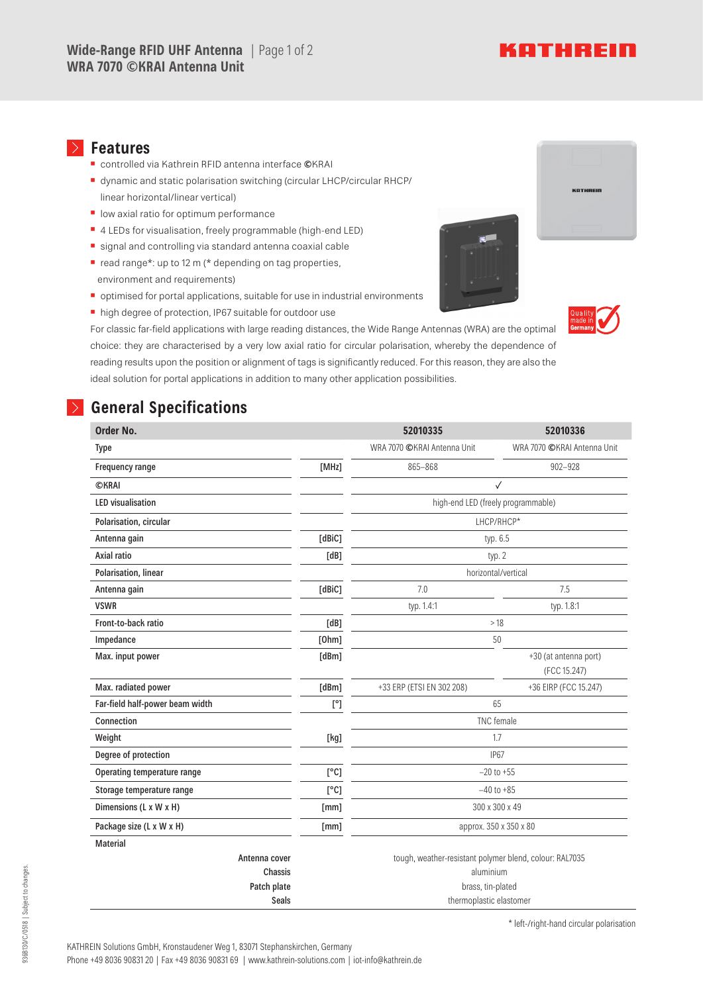# KATHREIN

#### **Features**

- **▪** controlled via Kathrein RFID antenna interface **©**KRAI
- dynamic and static polarisation switching (circular LHCP/circular RHCP/ linear horizontal/linear vertical)
- low axial ratio for optimum performance
- 4 LEDs for visualisation, freely programmable (high-end LED)
- **▪** signal and controlling via standard antenna coaxial cable
- read range\*: up to 12 m (\* depending on tag properties, environment and requirements)
- optimised for portal applications, suitable for use in industrial environments
- **▪** high degree of protection, IP67 suitable for outdoor use



## **General Specifications**

| Order No.                       |              | 52010335                                                | 52010336                              |
|---------------------------------|--------------|---------------------------------------------------------|---------------------------------------|
| Type                            |              | WRA 7070 CKRAI Antenna Unit                             | WRA 7070 CKRAI Antenna Unit           |
| Frequency range                 | [MHz]        | 865-868                                                 | $902 - 928$                           |
| <b>©KRAI</b>                    |              | ✓                                                       |                                       |
| <b>LED</b> visualisation        |              | high-end LED (freely programmable)                      |                                       |
| Polarisation, circular          |              | LHCP/RHCP*                                              |                                       |
| Antenna gain                    | [dBiC]       | typ. 6.5                                                |                                       |
| Axial ratio                     | [dB]         | typ. 2                                                  |                                       |
| Polarisation, linear            |              | horizontal/vertical                                     |                                       |
| Antenna gain                    | [dBiC]       | 7.0                                                     | 7.5                                   |
| <b>VSWR</b>                     |              | typ. 1.4:1                                              | typ. 1.8:1                            |
| Front-to-back ratio             | [dB]         | >18                                                     |                                       |
| Impedance                       | [Ohm]        | 50                                                      |                                       |
| Max. input power                | [dBm]        |                                                         | +30 (at antenna port)<br>(FCC 15.247) |
| Max. radiated power             | [dBm]        | +33 ERP (ETSI EN 302 208)                               | +36 EIRP (FCC 15.247)                 |
| Far-field half-power beam width | $[^{\circ}]$ | 65                                                      |                                       |
| Connection                      |              | <b>TNC</b> female                                       |                                       |
| Weight                          | [kg]         | 1.7                                                     |                                       |
| Degree of protection            |              | <b>IP67</b>                                             |                                       |
| Operating temperature range     | [°C]         | $-20$ to $+55$                                          |                                       |
| Storage temperature range       | [°C]         | $-40$ to $+85$                                          |                                       |
| Dimensions (L x W x H)          | [mm]         | 300 x 300 x 49                                          |                                       |
| Package size (L x W x H)        | [mm]         | approx. 350 x 350 x 80                                  |                                       |
| <b>Material</b>                 |              |                                                         |                                       |
| Antenna cover                   |              | tough, weather-resistant polymer blend, colour: RAL7035 |                                       |
| Chassis                         |              | aluminium                                               |                                       |
| Patch plate                     |              | brass, tin-plated                                       |                                       |
| <b>Seals</b>                    |              | thermoplastic elastomer                                 |                                       |

\* left-/right-hand circular polarisation

936B130/C/0518 | Subject to changes.

936B130/C/0518 | Subject to changes.